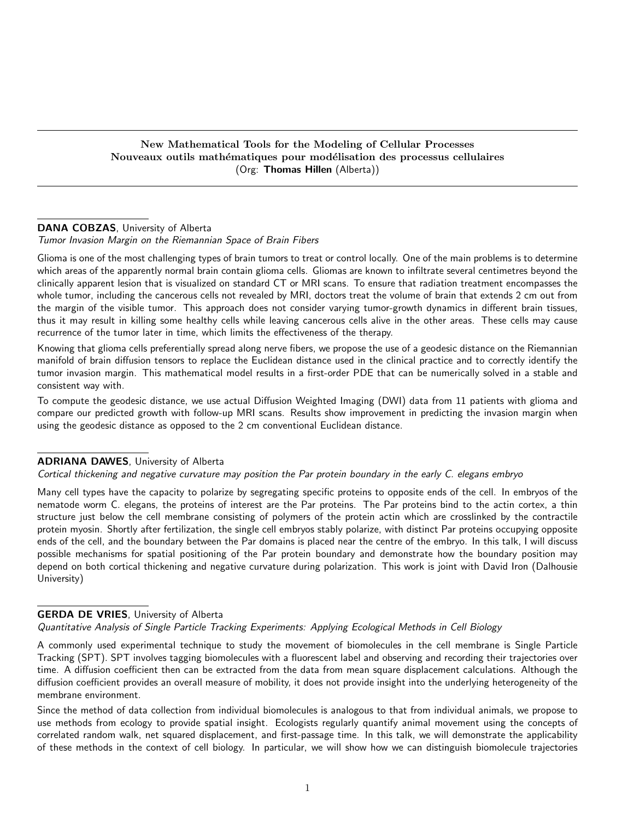### New Mathematical Tools for the Modeling of Cellular Processes Nouveaux outils mathématiques pour modélisation des processus cellulaires (Org: Thomas Hillen (Alberta))

# DANA COBZAS, University of Alberta

Tumor Invasion Margin on the Riemannian Space of Brain Fibers

Glioma is one of the most challenging types of brain tumors to treat or control locally. One of the main problems is to determine which areas of the apparently normal brain contain glioma cells. Gliomas are known to infiltrate several centimetres beyond the clinically apparent lesion that is visualized on standard CT or MRI scans. To ensure that radiation treatment encompasses the whole tumor, including the cancerous cells not revealed by MRI, doctors treat the volume of brain that extends 2 cm out from the margin of the visible tumor. This approach does not consider varying tumor-growth dynamics in different brain tissues, thus it may result in killing some healthy cells while leaving cancerous cells alive in the other areas. These cells may cause recurrence of the tumor later in time, which limits the effectiveness of the therapy.

Knowing that glioma cells preferentially spread along nerve fibers, we propose the use of a geodesic distance on the Riemannian manifold of brain diffusion tensors to replace the Euclidean distance used in the clinical practice and to correctly identify the tumor invasion margin. This mathematical model results in a first-order PDE that can be numerically solved in a stable and consistent way with.

To compute the geodesic distance, we use actual Diffusion Weighted Imaging (DWI) data from 11 patients with glioma and compare our predicted growth with follow-up MRI scans. Results show improvement in predicting the invasion margin when using the geodesic distance as opposed to the 2 cm conventional Euclidean distance.

### ADRIANA DAWES, University of Alberta

Cortical thickening and negative curvature may position the Par protein boundary in the early C. elegans embryo

Many cell types have the capacity to polarize by segregating specific proteins to opposite ends of the cell. In embryos of the nematode worm C. elegans, the proteins of interest are the Par proteins. The Par proteins bind to the actin cortex, a thin structure just below the cell membrane consisting of polymers of the protein actin which are crosslinked by the contractile protein myosin. Shortly after fertilization, the single cell embryos stably polarize, with distinct Par proteins occupying opposite ends of the cell, and the boundary between the Par domains is placed near the centre of the embryo. In this talk, I will discuss possible mechanisms for spatial positioning of the Par protein boundary and demonstrate how the boundary position may depend on both cortical thickening and negative curvature during polarization. This work is joint with David Iron (Dalhousie University)

# GERDA DE VRIES, University of Alberta

Quantitative Analysis of Single Particle Tracking Experiments: Applying Ecological Methods in Cell Biology

A commonly used experimental technique to study the movement of biomolecules in the cell membrane is Single Particle Tracking (SPT). SPT involves tagging biomolecules with a fluorescent label and observing and recording their trajectories over time. A diffusion coefficient then can be extracted from the data from mean square displacement calculations. Although the diffusion coefficient provides an overall measure of mobility, it does not provide insight into the underlying heterogeneity of the membrane environment.

Since the method of data collection from individual biomolecules is analogous to that from individual animals, we propose to use methods from ecology to provide spatial insight. Ecologists regularly quantify animal movement using the concepts of correlated random walk, net squared displacement, and first-passage time. In this talk, we will demonstrate the applicability of these methods in the context of cell biology. In particular, we will show how we can distinguish biomolecule trajectories